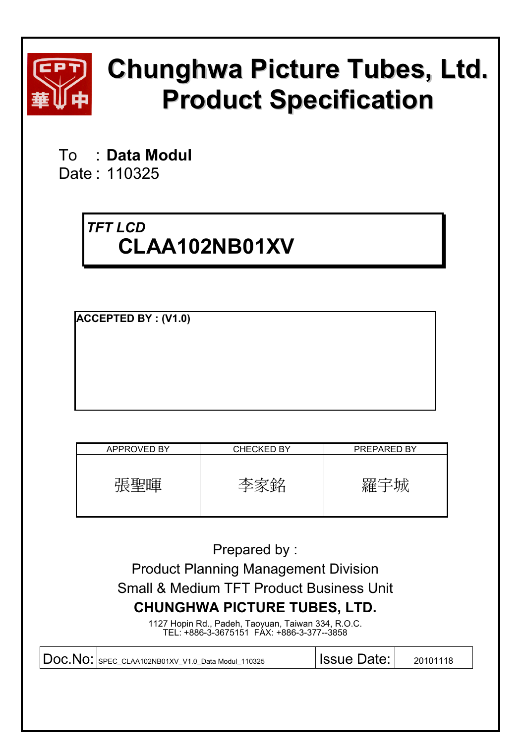

# **Chunghwa Picture Tubes, Ltd. Product Specification**

To : **Data Modul**  Date : 110325

# *TFT LCD*  **CLAA102NB01XV**

**ACCEPTED BY : (V1.0)**

| <b>APPROVED BY</b> | <b>CHECKED BY</b> | PREPARED BY |
|--------------------|-------------------|-------------|
| '宙'                |                   |             |

Prepared by : Product Planning Management Division Small & Medium TFT Product Business Unit **CHUNGHWA PICTURE TUBES, LTD.** 

1127 Hopin Rd., Padeh, Taoyuan, Taiwan 334, R.O.C. TEL: +886-3-3675151 FAX: +886-3-377--3858

| $\vert$ DOC. NO: SPEC_CLAA102NB01XV_V1.0_Data Modul_110325 | <b>Issue Date: I</b> | 20101118 |
|------------------------------------------------------------|----------------------|----------|
|                                                            |                      |          |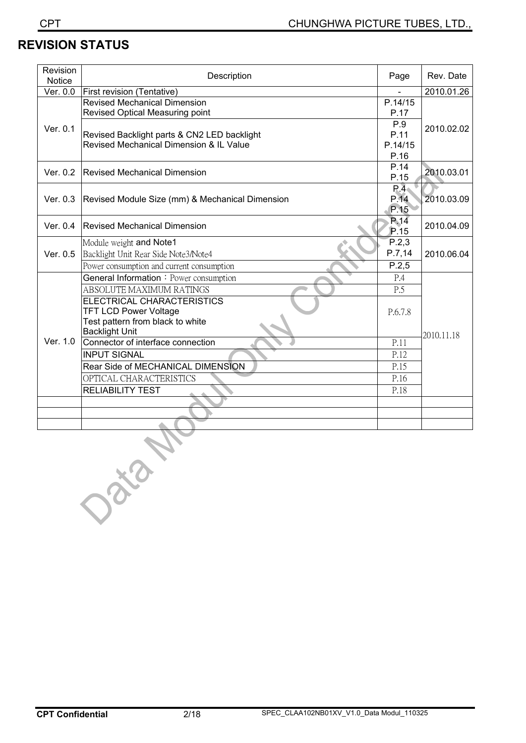# **REVISION STATUS**

| Revision<br>Notice | Description                                     | Page             | Rev. Date  |  |
|--------------------|-------------------------------------------------|------------------|------------|--|
| Ver. 0.0           | First revision (Tentative)                      |                  | 2010.01.26 |  |
|                    | <b>Revised Mechanical Dimension</b>             | P.14/15          |            |  |
|                    | Revised Optical Measuring point                 | P.17             |            |  |
| Ver. 0.1           |                                                 | P.9              | 2010.02.02 |  |
|                    | Revised Backlight parts & CN2 LED backlight     | P.11             |            |  |
|                    | Revised Mechanical Dimension & IL Value         | P.14/15          |            |  |
|                    |                                                 | P.16             |            |  |
| Ver. 0.2           | <b>Revised Mechanical Dimension</b>             | P.14             | 2010.03.01 |  |
|                    |                                                 | P.15             |            |  |
|                    |                                                 | R.4 <sub>1</sub> |            |  |
| Ver. 0.3           | Revised Module Size (mm) & Mechanical Dimension | P.14             | 2010.03.09 |  |
|                    |                                                 | P.15             |            |  |
| Ver. 0.4           | <b>Revised Mechanical Dimension</b>             | P.14             | 2010.04.09 |  |
|                    |                                                 | P.15             |            |  |
|                    | Module weight and Note1                         | P.2,3            |            |  |
| Ver. 0.5           | Backlight Unit Rear Side Note3/Note4            | P.7,14           | 2010.06.04 |  |
|                    | Power consumption and current consumption       | P.2,5            |            |  |
|                    | General Information: Power consumption          | P.4              |            |  |
|                    | ABSOLUTE MAXIMUM RATINGS                        | P.5              |            |  |
|                    | ELECTRICAL CHARACTERISTICS                      |                  |            |  |
|                    | <b>TFT LCD Power Voltage</b>                    | P.6.7.8          |            |  |
|                    | Test pattern from black to white                |                  |            |  |
|                    | <b>Backlight Unit</b>                           |                  | 2010.11.18 |  |
| Ver. 1.0           | Connector of interface connection               | P.11             |            |  |
|                    | <b>INPUT SIGNAL</b>                             | P.12             |            |  |
|                    | Rear Side of MECHANICAL DIMENSION               | P.15             |            |  |
|                    | OPTICAL CHARACTERISTICS                         | P.16             |            |  |
|                    | <b>RELIABILITY TEST</b>                         | P.18             |            |  |
|                    |                                                 |                  |            |  |
|                    |                                                 |                  |            |  |
|                    |                                                 |                  |            |  |
|                    |                                                 |                  |            |  |
|                    |                                                 |                  |            |  |
|                    |                                                 |                  |            |  |
|                    |                                                 |                  |            |  |
|                    |                                                 |                  |            |  |
|                    |                                                 |                  |            |  |
|                    | Data                                            |                  |            |  |
|                    |                                                 |                  |            |  |
|                    |                                                 |                  |            |  |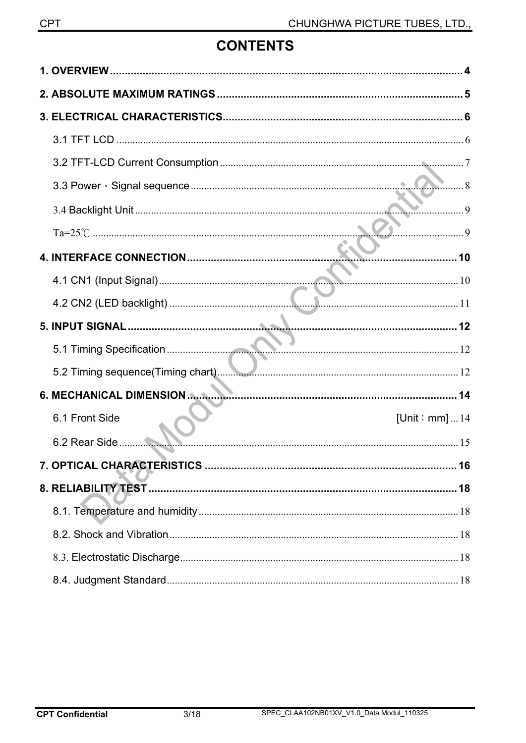# **CONTENTS**

|                | . <del></del> 10      |
|----------------|-----------------------|
|                |                       |
|                |                       |
|                |                       |
|                |                       |
|                |                       |
|                |                       |
| 6.1 Front Side | [Unit: mm] $\dots$ 14 |
|                |                       |
|                |                       |
|                |                       |
|                |                       |
|                |                       |
|                |                       |
|                |                       |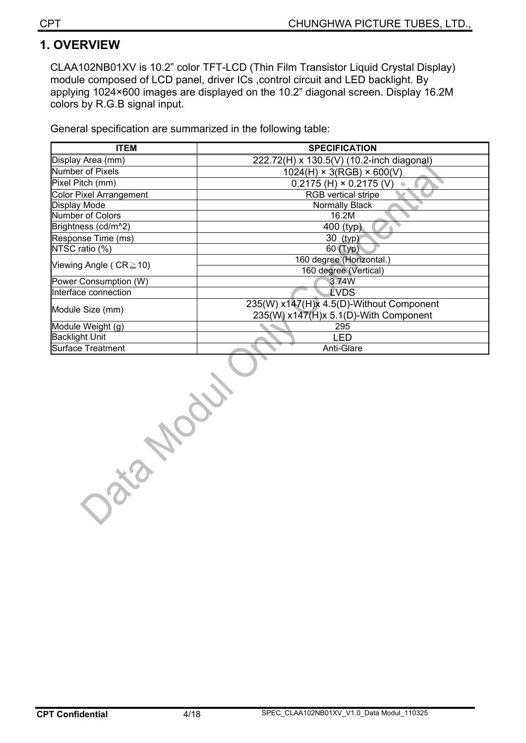# **1. OVERVIEW**

CLAA102NB01XV is 10.2" color TFT-LCD (Thin Film Transistor Liquid Crystal Display) module composed of LCD panel, driver ICs ,control circuit and LED backlight. By applying 1024×600 images are displayed on the 10.2" diagonal screen. Display 16.2M colors by R.G.B signal input.

General specification are summarized in the following table:

| <b>ITEM</b>                    | <b>SPECIFICATION</b>                      |  |  |  |  |
|--------------------------------|-------------------------------------------|--|--|--|--|
| Display Area (mm)              | 222.72(H) x 130.5(V) (10.2-inch diagonal) |  |  |  |  |
| <b>Number of Pixels</b>        | $1024(H) \times 3(RGB) \times 600(V)$     |  |  |  |  |
| Pixel Pitch (mm)               | $0.2175$ (H) $\times$ 0.2175 (V)          |  |  |  |  |
| <b>Color Pixel Arrangement</b> | RGB vertical stripe                       |  |  |  |  |
| Display Mode                   | Normally Black                            |  |  |  |  |
| Number of Colors               | 16.2M                                     |  |  |  |  |
| Brightness (cd/m^2)            | 400 (typ)                                 |  |  |  |  |
| Response Time (ms)             | 30 (typ)                                  |  |  |  |  |
| NTSC ratio (%)                 | 60 (Typ)                                  |  |  |  |  |
| Viewing Angle ( $CR \ge 10$ )  | 160 degree (Horizontal.)                  |  |  |  |  |
|                                | 160 degree (Vertical)                     |  |  |  |  |
| Power Consumption (W)          | 3.74W                                     |  |  |  |  |
| Interface connection           | LVDS                                      |  |  |  |  |
|                                | 235(W) x147(H)x 4.5(D)-Without Component  |  |  |  |  |
| Module Size (mm)               | 235(W) x147(H)x 5.1(D)-With Component     |  |  |  |  |
| Module Weight (g)              | 295                                       |  |  |  |  |
| <b>Backlight Unit</b>          | LED                                       |  |  |  |  |
| <b>Surface Treatment</b>       | Anti-Glare                                |  |  |  |  |

Data Model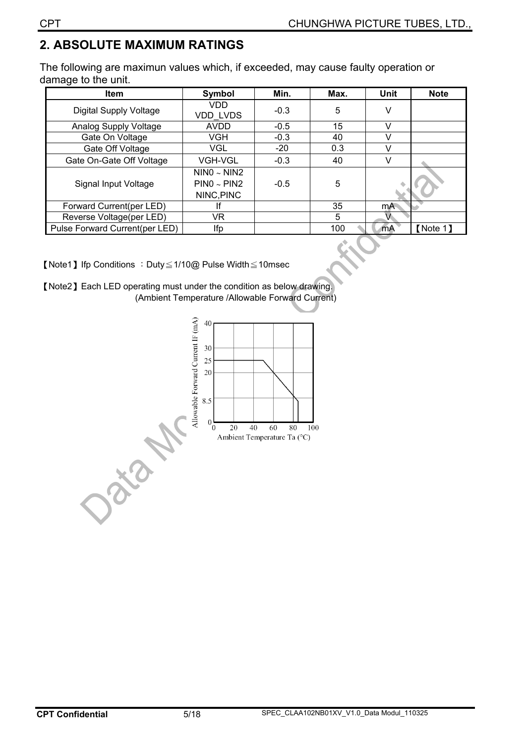# **2. ABSOLUTE MAXIMUM RATINGS**

The following are maximun values which, if exceeded, may cause faulty operation or damage to the unit.

| <b>Item</b>                    | Symbol                                        | Min.   | Max. | <b>Unit</b> | <b>Note</b> |
|--------------------------------|-----------------------------------------------|--------|------|-------------|-------------|
| Digital Supply Voltage         | VDD<br><b>VDD LVDS</b>                        | $-0.3$ | 5    |             |             |
| Analog Supply Voltage          | <b>AVDD</b>                                   | $-0.5$ | 15   |             |             |
| Gate On Voltage                | VGH                                           | $-0.3$ | 40   |             |             |
| Gate Off Voltage               | VGL                                           | $-20$  | 0.3  |             |             |
| Gate On-Gate Off Voltage       | VGH-VGL                                       | $-0.3$ | 40   |             |             |
| Signal Input Voltage           | NINO ~ NIN2<br>$PIN0 \sim PIN2$<br>NINC, PINC | $-0.5$ | 5    |             |             |
| Forward Current(per LED)       |                                               |        | 35   | mA.         |             |
| Reverse Voltage(per LED)       | VR                                            |        | 5    |             |             |
| Pulse Forward Current(per LED) | Ifp                                           |        | 100  | mA          | [Note 1]    |

**[Note1] Ifp Conditions : Duty** $\leq$ 1/10@ Pulse Width $\leq$ 10msec

[Note2] Each LED operating must under the condition as below drawing. (Ambient Temperature /Allowable Forward Current)

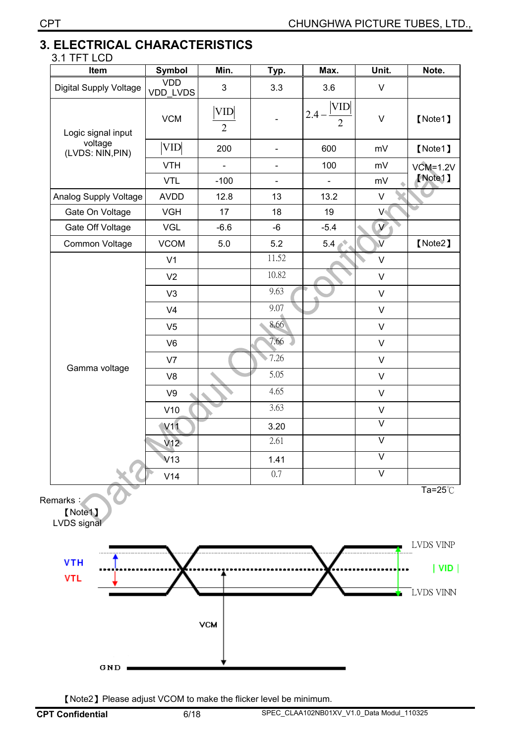#### **3. ELECTRICAL CHARACTERISTICS**   $2.1$  TET LCD

| <b>VDD</b><br>VDD_LVDS<br><b>VCM</b><br><b>VID</b> | $\mathsf 3$<br><b>VID</b><br>$\overline{2}$<br>200 | 3.3<br>$\overline{\phantom{a}}$ | 3.6<br>VID<br>2.4<br>$\overline{2}$ | $\sf V$<br>$\mathsf{V}$ | [Note1]                   |
|----------------------------------------------------|----------------------------------------------------|---------------------------------|-------------------------------------|-------------------------|---------------------------|
|                                                    |                                                    |                                 |                                     |                         |                           |
|                                                    |                                                    |                                 |                                     |                         |                           |
|                                                    |                                                    | $\qquad \qquad \blacksquare$    | 600                                 | mV                      | [Note1]                   |
| <b>VTH</b>                                         | $\blacksquare$                                     | $\qquad \qquad \blacksquare$    | 100                                 | mV                      | $VCM=1.2V$                |
| <b>VTL</b>                                         | $-100$                                             | $\overline{\phantom{0}}$        |                                     | mV                      | [Note1]                   |
| <b>AVDD</b>                                        | 12.8                                               | 13                              | 13.2                                | $\sf V$                 |                           |
| <b>VGH</b>                                         | 17                                                 | 18                              | 19                                  | V                       |                           |
| VGL                                                | $-6.6$                                             | $-6$                            | $-5.4$                              | V <sub>1</sub>          |                           |
| <b>VCOM</b>                                        | $5.0$                                              | 5.2                             | 5.4 <sub>1</sub>                    | $\overline{\mathsf{v}}$ | [Note2]                   |
| V <sub>1</sub>                                     |                                                    | 11.52                           |                                     | $\vee$                  |                           |
| V <sub>2</sub>                                     |                                                    | 10.82                           |                                     | $\mathsf V$             |                           |
| V <sub>3</sub>                                     |                                                    | 9.63                            |                                     | $\vee$                  |                           |
| V <sub>4</sub>                                     |                                                    | 9.07                            |                                     | $\mathsf V$             |                           |
| V <sub>5</sub>                                     |                                                    | 8.66                            |                                     | $\mathsf V$             |                           |
| V <sub>6</sub>                                     |                                                    | 7.66                            |                                     | $\mathsf{V}$            |                           |
| V7                                                 |                                                    | 7.26                            |                                     | $\mathsf{V}$            |                           |
| V <sub>8</sub>                                     |                                                    | 5.05                            |                                     | $\sf V$                 |                           |
| V9                                                 |                                                    | 4.65                            |                                     | $\mathsf{V}$            |                           |
| V10                                                |                                                    | 3.63                            |                                     | $\mathsf{V}$            |                           |
| V <sub>1</sub> 1                                   |                                                    | 3.20                            |                                     | $\overline{\mathsf{V}}$ |                           |
| V12                                                |                                                    | 2.61                            |                                     | $\overline{\vee}$       |                           |
| V13                                                |                                                    | 1.41                            |                                     | V                       |                           |
| V14                                                |                                                    | 0.7                             |                                     | $\vee$                  |                           |
|                                                    |                                                    |                                 |                                     |                         | Ta= $25^{\circ}$ C        |
|                                                    |                                                    |                                 |                                     |                         | <b>LVDS VINP</b><br>  VID |
|                                                    |                                                    |                                 |                                     |                         | LVDS VINN                 |
|                                                    |                                                    |                                 |                                     |                         |                           |

[Note2] Please adjust VCOM to make the flicker level be minimum.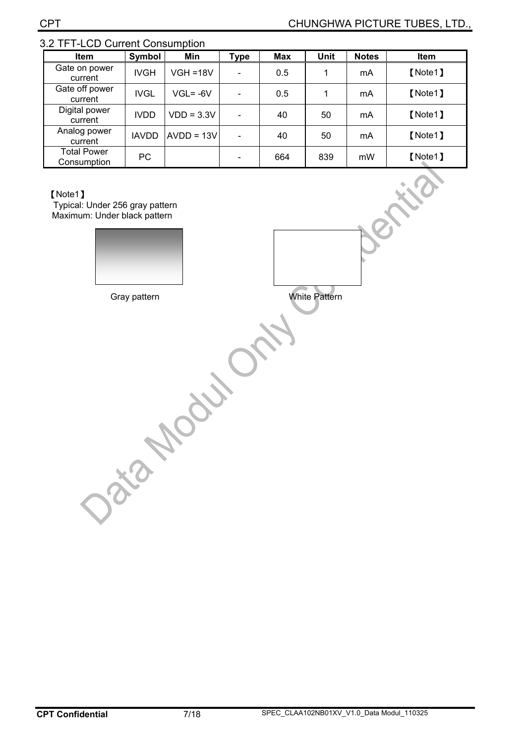| Item                              | Symbol       | Min          | <b>Type</b>              | <b>Max</b> | <b>Unit</b> | <b>Notes</b> | <b>Item</b> |
|-----------------------------------|--------------|--------------|--------------------------|------------|-------------|--------------|-------------|
| Gate on power<br>current          | <b>IVGH</b>  | $VGH = 18V$  |                          | 0.5        | 1           | mA           | [Note1]     |
| Gate off power<br>current         | IVGL         | $VGL = -6V$  |                          | 0.5        |             | mA           | [Note1]     |
| Digital power<br>current          | <b>IVDD</b>  | $VDD = 3.3V$ | $\overline{\phantom{a}}$ | 40         | 50          | mA           | [Note1]     |
| Analog power<br>current           | <b>IAVDD</b> | $AVDD = 13V$ | $\overline{\phantom{a}}$ | 40         | 50          | mA           | [Note1]     |
| <b>Total Power</b><br>Consumption | PC           |              |                          | 664        | 839         | mW           | [Note1]     |

# 3.2 TFT-LCD Current Consumption

#### [Note1]

Typical: Under 256 gray pattern Maximum: Under black pattern



Gray pattern **White Pattern** 

Data November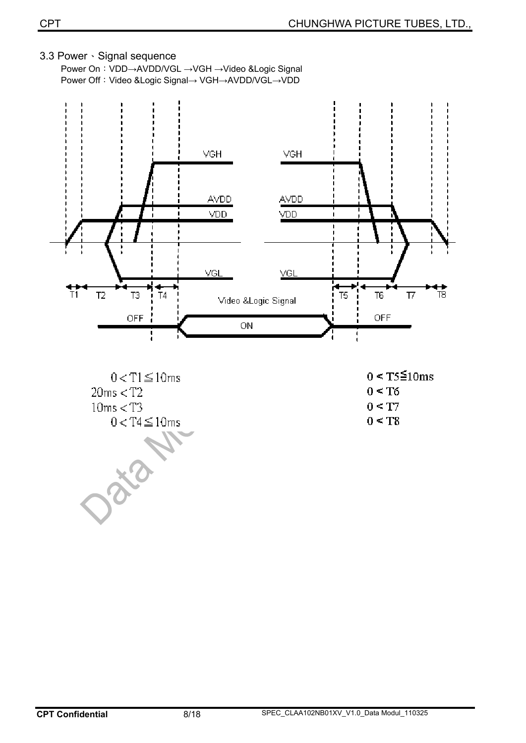#### 3.3 Power Signal sequence

Power On: VDD→AVDD/VGL → VGH → Video &Logic Signal Power Off: Video &Logic Signal→ VGH→AVDD/VGL→VDD





Die

 $0 < T5 \leq 10 \text{ms}$  $0 < T6$  $0 \leq T7$  $0 < T8$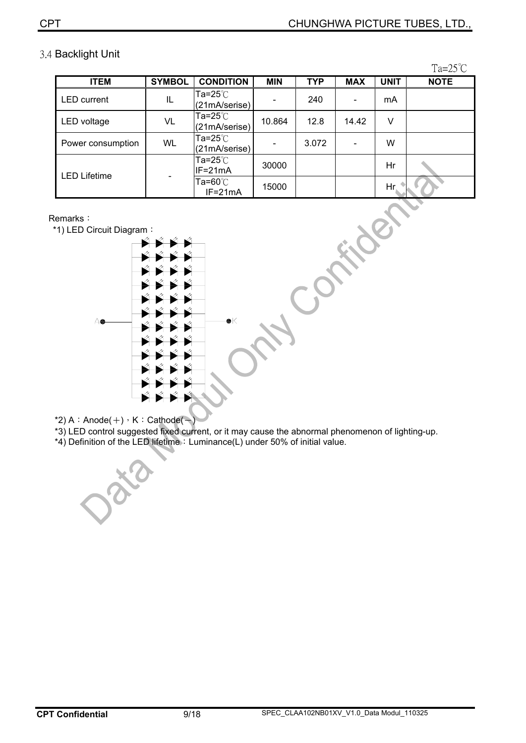|                     |               |                                          |            |            |            |             | 1a=25 ∪     |
|---------------------|---------------|------------------------------------------|------------|------------|------------|-------------|-------------|
| <b>ITEM</b>         | <b>SYMBOL</b> | <b>CONDITION</b>                         | <b>MIN</b> | <b>TYP</b> | <b>MAX</b> | <b>UNIT</b> | <b>NOTE</b> |
| <b>LED</b> current  | IL            | Ta=25 $^\circ\!{\rm C}$<br>(21mA/serise) |            | 240        |            | mA          |             |
| LED voltage         | VL            | Ta=25 $^\circ\!{\rm C}$<br>(21mA/serise) | 10.864     | 12.8       | 14.42      | v           |             |
| Power consumption   | <b>WL</b>     | Ta=25℃<br>(21mA/serise)                  |            | 3.072      |            | W           |             |
| <b>LED Lifetime</b> |               | Ta=25℃<br>IF=21mA                        | 30000      |            |            | Hr          |             |
|                     |               | Та=60℃<br>$IF = 21mA$                    | 15000      |            |            | Hr.         |             |

# 3.4 Backlight Unit

 $T<sub>z</sub>$   $\Delta E^{\circ}C$ 

#### Remarks:

\*1) LED Circuit Diagram:



 $*2$ ) A: Anode( $+$ )  $\cdot$  K: Cathode( $-$ )

\*3) LED control suggested fixed current, or it may cause the abnormal phenomenon of lighting-up.

\*4) Definition of the LED lifetime: Luminance(L) under 50% of initial value.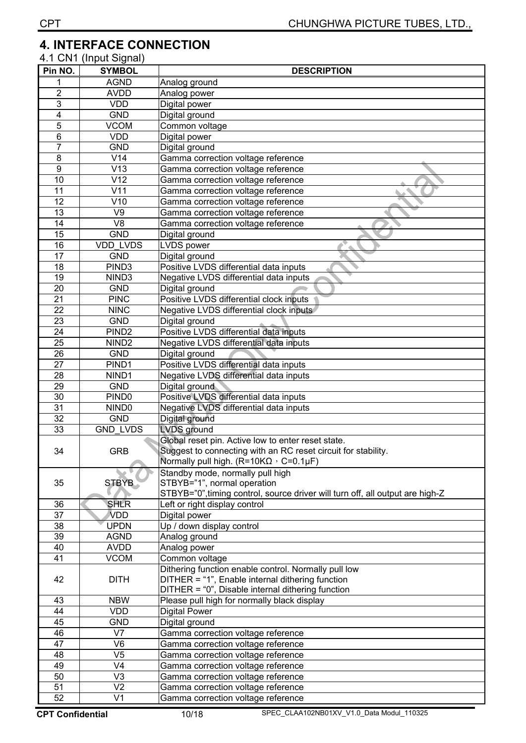# **4. INTERFACE CONNECTION**

| 4.1 CN1 (Input Signal) |
|------------------------|
|                        |

| Pin NO.         | <b>SYMBOL</b>     | <b>DESCRIPTION</b>                                                            |  |  |  |  |
|-----------------|-------------------|-------------------------------------------------------------------------------|--|--|--|--|
|                 | <b>AGND</b>       | Analog ground                                                                 |  |  |  |  |
| $\overline{c}$  | <b>AVDD</b>       | Analog power                                                                  |  |  |  |  |
| $\overline{3}$  | <b>VDD</b>        | Digital power                                                                 |  |  |  |  |
| 4               | <b>GND</b>        | Digital ground                                                                |  |  |  |  |
| 5               | <b>VCOM</b>       | Common voltage                                                                |  |  |  |  |
| 6               | <b>VDD</b>        | Digital power                                                                 |  |  |  |  |
| $\overline{7}$  | <b>GND</b>        | Digital ground                                                                |  |  |  |  |
| 8               | V14               | Gamma correction voltage reference                                            |  |  |  |  |
| 9               | V13               | Gamma correction voltage reference                                            |  |  |  |  |
| 10              | V12               | Gamma correction voltage reference                                            |  |  |  |  |
| 11              | V11               | Gamma correction voltage reference                                            |  |  |  |  |
| 12              | V10               | Gamma correction voltage reference                                            |  |  |  |  |
| 13              | V9                |                                                                               |  |  |  |  |
|                 |                   | Gamma correction voltage reference                                            |  |  |  |  |
| 14              | V <sub>8</sub>    | Gamma correction voltage reference                                            |  |  |  |  |
| 15              | <b>GND</b>        | Digital ground                                                                |  |  |  |  |
| 16              | <b>VDD LVDS</b>   | LVDS power                                                                    |  |  |  |  |
| 17              | <b>GND</b>        | Digital ground                                                                |  |  |  |  |
| 18              | PIND <sub>3</sub> | Positive LVDS differential data inputs                                        |  |  |  |  |
| 19              | NIND <sub>3</sub> | Negative LVDS differential data inputs                                        |  |  |  |  |
| 20              | <b>GND</b>        | Digital ground                                                                |  |  |  |  |
| 21              | <b>PINC</b>       | Positive LVDS differential clock inputs                                       |  |  |  |  |
| 22              | <b>NINC</b>       | Negative LVDS differential clock inputs                                       |  |  |  |  |
| 23              | <b>GND</b>        | Digital ground                                                                |  |  |  |  |
| 24              | PIND <sub>2</sub> | Positive LVDS differential data inputs                                        |  |  |  |  |
| $\overline{25}$ | NIND <sub>2</sub> | Negative LVDS differential data inputs                                        |  |  |  |  |
| 26              | <b>GND</b>        | Digital ground                                                                |  |  |  |  |
| 27              | PIND1             | Positive LVDS differential data inputs                                        |  |  |  |  |
| 28              | NIND1             | Negative LVDS differential data inputs                                        |  |  |  |  |
| 29              | <b>GND</b>        | Digital ground                                                                |  |  |  |  |
| 30              | PIND <sub>0</sub> | Positive LVDS differential data inputs                                        |  |  |  |  |
| 31              | NIND <sub>0</sub> | Negative LVDS differential data inputs                                        |  |  |  |  |
| 32              | <b>GND</b>        | Digital ground                                                                |  |  |  |  |
| 33              | <b>GND LVDS</b>   | <b>LVDS</b> ground                                                            |  |  |  |  |
|                 |                   | Global reset pin. Active low to enter reset state.                            |  |  |  |  |
| 34              | <b>GRB</b>        | Suggest to connecting with an RC reset circuit for stability.                 |  |  |  |  |
|                 |                   | Normally pull high. ( $R = 10K\Omega$ , C=0.1µF)                              |  |  |  |  |
|                 |                   | Standby mode, normally pull high                                              |  |  |  |  |
| 35              | <b>STBYB</b>      | STBYB="1", normal operation                                                   |  |  |  |  |
|                 |                   | STBYB="0", timing control, source driver will turn off, all output are high-Z |  |  |  |  |
| 36              | <b>SHLR</b>       | Left or right display control                                                 |  |  |  |  |
| 37              | <b>VDD</b>        | Digital power                                                                 |  |  |  |  |
| 38              | <b>UPDN</b>       | Up / down display control                                                     |  |  |  |  |
| 39              | <b>AGND</b>       | Analog ground                                                                 |  |  |  |  |
| 40              | <b>AVDD</b>       | Analog power                                                                  |  |  |  |  |
| 41              | <b>VCOM</b>       | Common voltage                                                                |  |  |  |  |
|                 |                   | Dithering function enable control. Normally pull low                          |  |  |  |  |
| 42              | <b>DITH</b>       | DITHER = "1", Enable internal dithering function                              |  |  |  |  |
|                 |                   | DITHER = "0", Disable internal dithering function                             |  |  |  |  |
| 43              | <b>NBW</b>        | Please pull high for normally black display                                   |  |  |  |  |
| 44              | <b>VDD</b>        | Digital Power                                                                 |  |  |  |  |
| 45              | <b>GND</b>        | Digital ground                                                                |  |  |  |  |
| 46              | V <sub>7</sub>    | Gamma correction voltage reference                                            |  |  |  |  |
| 47              | V <sub>6</sub>    | Gamma correction voltage reference                                            |  |  |  |  |
| 48              | V <sub>5</sub>    |                                                                               |  |  |  |  |
| 49              | V <sub>4</sub>    | Gamma correction voltage reference                                            |  |  |  |  |
|                 |                   | Gamma correction voltage reference                                            |  |  |  |  |
| 50              | V <sub>3</sub>    | Gamma correction voltage reference                                            |  |  |  |  |
| $\overline{51}$ | V <sub>2</sub>    | Gamma correction voltage reference                                            |  |  |  |  |
| $\overline{52}$ | V <sub>1</sub>    | Gamma correction voltage reference                                            |  |  |  |  |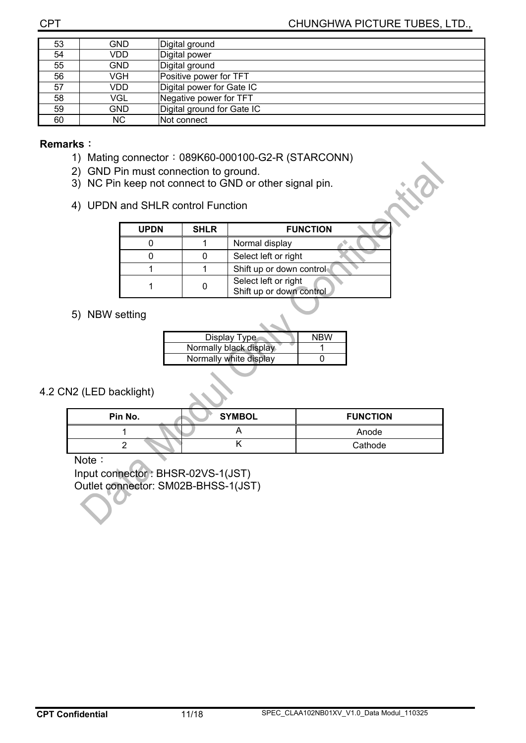| 53 | GND  | Digital ground             |
|----|------|----------------------------|
| 54 | VDD  | Digital power              |
| 55 | GND  | Digital ground             |
| 56 | VGH  | Positive power for TFT     |
| 57 | VDD. | Digital power for Gate IC  |
| 58 | VGL  | Negative power for TFT     |
| 59 | GND  | Digital ground for Gate IC |
| 60 | NC.  | <b>Not connect</b>         |

#### **Remarks:**

- 1) Mating connector: 089K60-000100-G2-R (STARCONN)
- 2) GND Pin must connection to ground.
- 3) NC Pin keep not connect to GND or other signal pin.
- 4) UPDN and SHLR control Function

| <b>UPDN</b> | <b>SHLR</b> | <b>FUNCTION</b>                                  |
|-------------|-------------|--------------------------------------------------|
|             |             | Normal display                                   |
|             |             | Select left or right                             |
|             |             | Shift up or down control                         |
|             |             | Select left or right<br>Shift up or down control |

### 5) NBW setting

| Display Type           | <b>NRW</b> |
|------------------------|------------|
| Normally black display |            |
| Normally white display |            |
|                        |            |

#### 4.2 CN2 (LED backlight)

| Pin No. | <b>SYMBOL</b> | <b>FUNCTION</b> |
|---------|---------------|-----------------|
|         |               | Anode           |
|         |               | Cathode         |

Note:

Input connector : BHSR-02VS-1(JST) Outlet connector: SM02B-BHSS-1(JST)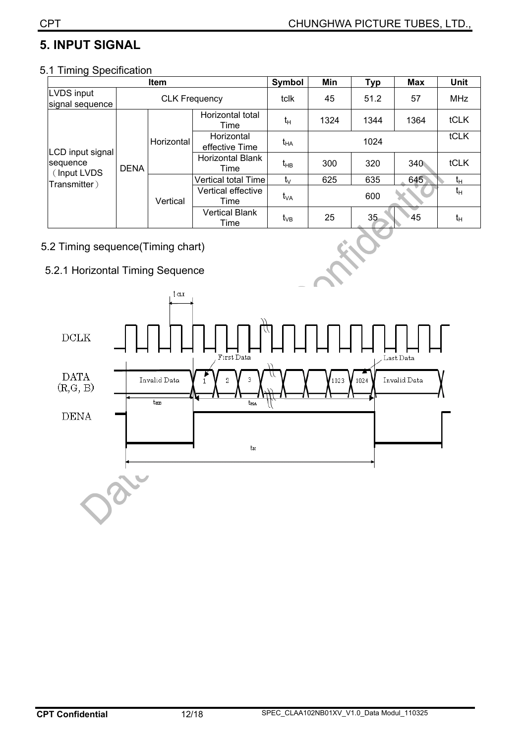# **5. INPUT SIGNAL**

# 5.1 Timing Specification

| Item                                        |                      |                              | Symbol                          | <b>Min</b>      | <b>Typ</b> | <b>Max</b> | <b>Unit</b> |       |
|---------------------------------------------|----------------------|------------------------------|---------------------------------|-----------------|------------|------------|-------------|-------|
| LVDS input<br>signal sequence               | <b>CLK Frequency</b> |                              | tclk                            | 45              | 51.2       | 57         | <b>MHz</b>  |       |
|                                             | Horizontal           | Horizontal total<br>Time     | $t_H$                           | 1324            | 1344       | 1364       | tCLK        |       |
|                                             |                      | Horizontal<br>effective Time | $t_{HA}$                        | 1024            |            |            | tCLK        |       |
| LCD input signal<br>sequence<br>(Input LVDS | <b>DENA</b>          |                              | <b>Horizontal Blank</b><br>Time | t <sub>нв</sub> | 300        | 320        | 340         | tCLK  |
| Transmitter)                                |                      |                              | Vertical total Time             | $t_{\vee}$      | 625        | 635        | 645         | $t_H$ |
|                                             |                      | Vertical                     | Vertical effective<br>Time      | t <sub>va</sub> |            | 600        |             | $t_H$ |
|                                             |                      |                              | <b>Vertical Blank</b><br>Time   | $t_{VB}$        | 25         | 35         | 845         | $t_H$ |

### 5.2 Timing sequence(Timing chart)

### 5.2.1 Horizontal Timing Sequence

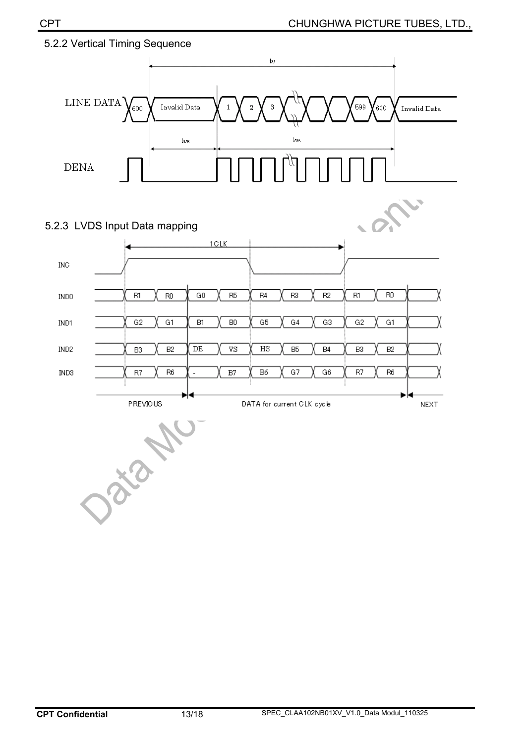

### 5.2.2 Vertical Timing Sequence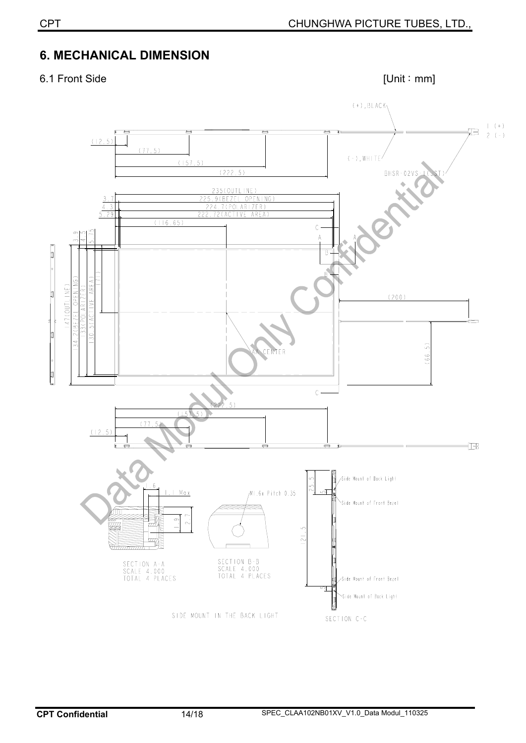# **6. MECHANICAL DIMENSION**

# 6.1 Front Side [Unit: mm]

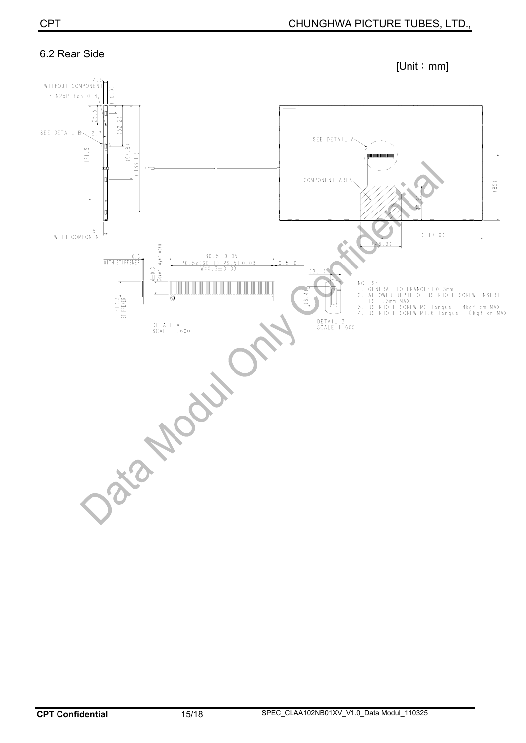# 6.2 Rear Side

 $[Unit : mm]$ 

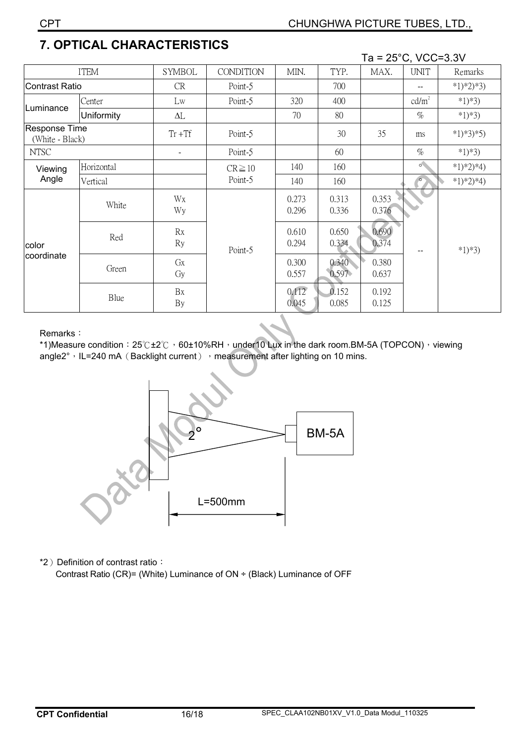|                                  |            |                          |                  |                |                | Ta = $25^{\circ}$ C, VCC=3.3V |                   |             |
|----------------------------------|------------|--------------------------|------------------|----------------|----------------|-------------------------------|-------------------|-------------|
| <b>ITEM</b>                      |            | <b>SYMBOL</b>            | <b>CONDITION</b> | MIN.           | TYP.           | MAX.                          | <b>UNIT</b>       | Remarks     |
| <b>Contrast Ratio</b>            |            | CR                       | Point-5          |                | 700            |                               |                   | $*1)*2)*3)$ |
|                                  | Center     | Lw                       | Point-5          | 320            | 400            |                               | cd/m <sup>2</sup> | $*1)*3)$    |
| Luminance                        | Uniformity | $\Delta L$               |                  | 70             | 80             |                               | $\%$              | $*1)*3)$    |
| Response Time<br>(White - Black) |            | $Tr + Tf$                | Point-5          |                | 30             | 35                            | ms                | $*1)*3*5)$  |
| <b>NTSC</b>                      |            | $\overline{\phantom{a}}$ | Point-5          |                | 60             |                               | $\%$              | $*1)*3)$    |
| Viewing                          | Horizontal |                          | $CR \ge 10$      | 140            | 160            |                               | $\circ$           | $*1)*2)*4)$ |
| Angle                            | Vertical   |                          | Point-5          | 140            | 160            |                               | $\circ$           | $*1)*2)*4)$ |
| color<br>coordinate              | White      | Wx<br>Wy                 | Point-5          | 0.273<br>0.296 | 0.313<br>0.336 | 0.353<br>0.376                |                   | $*1)*3)$    |
|                                  | Red        | Rx<br>Ry                 |                  | 0.610<br>0.294 | 0.650<br>0.334 | 0.690<br>0.374                |                   |             |
|                                  | Green      | GX<br>Gy                 |                  | 0.300<br>0.557 | 0.340<br>0.597 | 0.380<br>0.637                |                   |             |
|                                  | Blue       | Bx<br>By                 |                  | 0.112<br>0.045 | 0.152<br>0.085 | 0.192<br>0.125                |                   |             |

# **7. OPTICAL CHARACTERISTICS**

Remarks:

\*1)Measure condition:  $25^\circ$ C $\pm 2^\circ$ C  $\cdot$  60 $\pm$ 10%RH $\cdot$  under10 Lux in the dark room.BM-5A (TOPCON) $\cdot$  viewing angle2°, IL=240 mA (Backlight current) , measurement after lighting on 10 mins.



\*2) Definition of contrast ratio:

Contrast Ratio (CR)= (White) Luminance of ON ÷ (Black) Luminance of OFF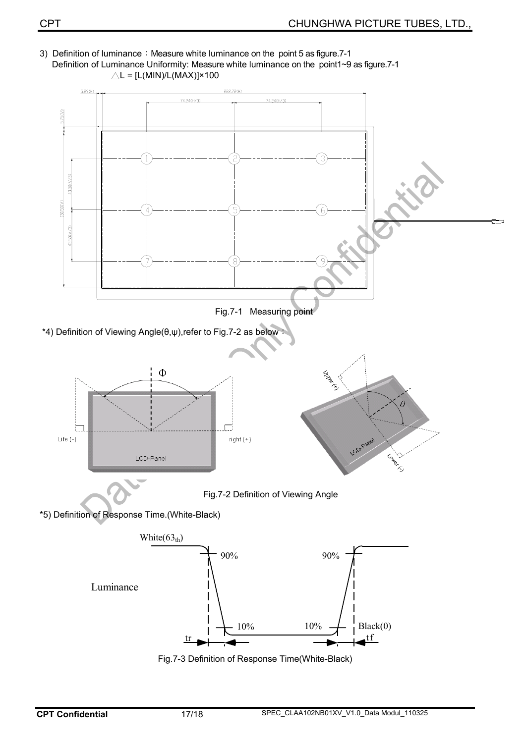